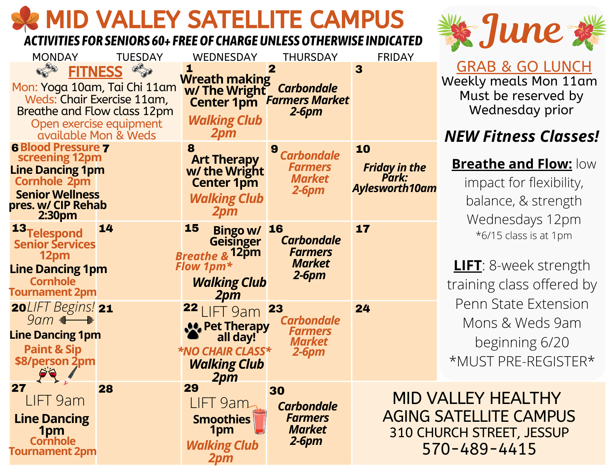# MID VALLEY SATELLITE CAMPUS SARE THE SATELLITE OF A MINUS

#### *ACTIVITIES FOR SENIORS 60+ FREEOF CHARGEUNLESSOTHERWISE INDICATED*

| <b>MONDAY</b>                                     | <b>TUESDAY</b>                                        | <b>WEDNESDAY</b>                                      | <b>THURSDAY</b>                             | <b>FRIDAY</b>                  |                         |
|---------------------------------------------------|-------------------------------------------------------|-------------------------------------------------------|---------------------------------------------|--------------------------------|-------------------------|
| Mon: Yoga 10am, Tai Chi 11am                      | <b>FITNESS</b>                                        | 1<br><b>Wreath making</b><br>w/ The Wright Carbondale | $\mathbf 2$                                 | 3                              | <u>l</u><br>We          |
| Breathe and Flow class 12pm                       | Weds: Chair Exercise 11am,<br>Open exercise equipment | <b>Walking Club</b>                                   | <b>Center 1pm</b> Farmers Market<br>$2-6pm$ |                                |                         |
|                                                   | available Mon & Weds                                  | <b>2pm</b>                                            |                                             |                                | NI                      |
| <b>6 Blood Pressure 7</b><br>screening 12pm       |                                                       | 8<br><b>Art Therapy</b>                               | 9<br><b>Carbondale</b><br><b>Farmers</b>    | 10                             | $\overline{\mathbf{B}}$ |
| <b>Line Dancing 1pm</b><br><b>Cornhole 2pm</b>    |                                                       | w/ the Wright<br><b>Center 1pm</b>                    | <b>Market</b>                               | <b>Friday in the<br/>Park:</b> |                         |
| <b>Senior Wellness</b><br>pres. w/ CIP Rehab      |                                                       | <b>Walking Club</b>                                   | $2-6pm$                                     | <b>Aylesworth10am</b>          |                         |
| 2:30pm                                            |                                                       | <b>2pm</b>                                            |                                             |                                |                         |
| 13 <sub>Telespond</sub><br><b>Senior Services</b> | 14                                                    | <b>15</b><br>Bingo w/ 16<br>Geisinger                 | <b>Carbondale</b>                           | 17                             |                         |
| 12pm                                              |                                                       | <b>Breathe &amp; 12pm</b>                             | <b>Farmers</b><br><b>Market</b>             |                                |                         |
| <b>Line Dancing 1pm</b><br><b>Cornhole</b>        |                                                       | <b>Flow 1pm*</b>                                      | $2-6pm$                                     |                                |                         |
| <b>Tournament 2pm</b>                             |                                                       | <b>Walking Club</b><br>2pm                            |                                             |                                | tra                     |
| 20LIFT Begins! 21                                 |                                                       | $22$ LIFT 9am                                         | <b>23</b>                                   | 24                             | F                       |
| $9am$ $\rightarrow$<br><b>Line Dancing 1pm</b>    |                                                       | <b>A.</b> Pet Therapy                                 | <b>Carbondale</b><br><b>Farmers</b>         |                                |                         |
| <b>Paint &amp; Sip</b>                            |                                                       | all day!<br><b>*NO CHAIR CLASS*</b>                   | <b>Market</b><br>$2-6pm$                    |                                |                         |
| \$8/person 2pm                                    |                                                       | <b>Walking Club</b>                                   |                                             |                                | $\star$                 |
| 27                                                | 28                                                    | 2pm<br>29                                             | 30                                          |                                |                         |
| LIFT 9am                                          |                                                       | LIFT 9am                                              | <b>Carbondale</b>                           | <b>MID VALI</b>                |                         |
| <b>Line Dancing</b>                               |                                                       | <b>Smoothies</b><br>1pm                               | <b>Farmers</b><br><b>Market</b>             | <b>AGING SAT</b><br>310 CHURC  |                         |
| 1pm<br>Cornhole                                   |                                                       | <b>Walking Club</b>                                   | $2-6pm$                                     |                                | $570 -$                 |
| <b>Tournament 2pm</b>                             |                                                       | 2pm                                                   |                                             |                                |                         |



GRAB & GO LUNCH  $\text{Rekly}$  meals Mon  $11 \text{am}$ Must be reserved by Wednesday prior

## *NEW Fitness Classes!*

#### **Breathe and Flow:** low

impact for flexibility, balance, & strength Wednesdays 12pm \*6/15 class is at 1pm

**LIFT**: 8-week strength aining class offered by Penn State Extension Mons & Weds 9am beginning 6/20 \*MUST PRE-REGISTER\*

LEY HEALTHY **ELLITE CAMPUS H STREET, JESSUP** 570-489-4415